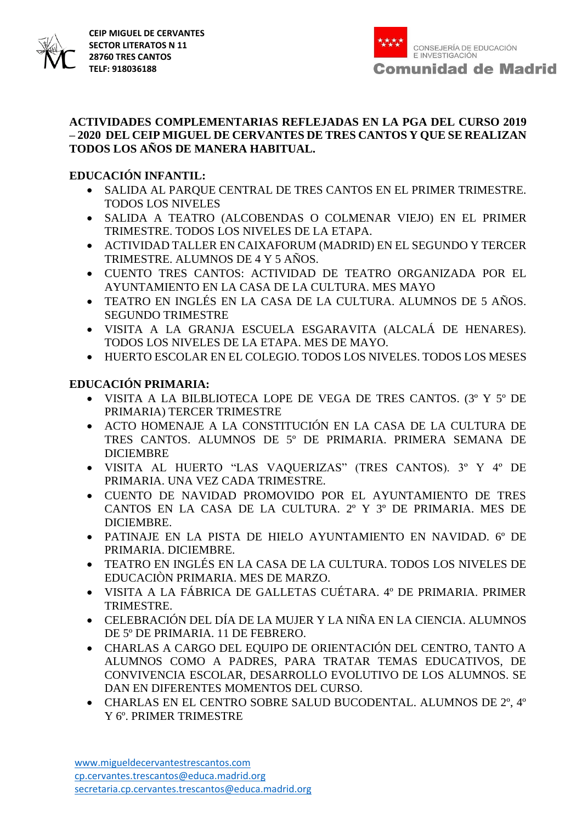

#### **ACTIVIDADES COMPLEMENTARIAS REFLEJADAS EN LA PGA DEL CURSO 2019 – 2020 DEL CEIP MIGUEL DE CERVANTES DE TRES CANTOS Y QUE SE REALIZAN TODOS LOS AÑOS DE MANERA HABITUAL.**

## **EDUCACIÓN INFANTIL:**

- SALIDA AL PARQUE CENTRAL DE TRES CANTOS EN EL PRIMER TRIMESTRE. TODOS LOS NIVELES
- SALIDA A TEATRO (ALCOBENDAS O COLMENAR VIEJO) EN EL PRIMER TRIMESTRE. TODOS LOS NIVELES DE LA ETAPA.
- ACTIVIDAD TALLER EN CAIXAFORUM (MADRID) EN EL SEGUNDO Y TERCER TRIMESTRE. ALUMNOS DE 4 Y 5 AÑOS.
- CUENTO TRES CANTOS: ACTIVIDAD DE TEATRO ORGANIZADA POR EL AYUNTAMIENTO EN LA CASA DE LA CULTURA. MES MAYO
- TEATRO EN INGLÉS EN LA CASA DE LA CULTURA. ALUMNOS DE 5 AÑOS. SEGUNDO TRIMESTRE
- VISITA A LA GRANJA ESCUELA ESGARAVITA (ALCALÁ DE HENARES). TODOS LOS NIVELES DE LA ETAPA. MES DE MAYO.
- HUERTO ESCOLAR EN EL COLEGIO. TODOS LOS NIVELES. TODOS LOS MESES

# **EDUCACIÓN PRIMARIA:**

- VISITA A LA BILBLIOTECA LOPE DE VEGA DE TRES CANTOS. (3º Y 5º DE PRIMARIA) TERCER TRIMESTRE
- ACTO HOMENAJE A LA CONSTITUCIÓN EN LA CASA DE LA CULTURA DE TRES CANTOS. ALUMNOS DE 5º DE PRIMARIA. PRIMERA SEMANA DE DICIEMBRE
- VISITA AL HUERTO "LAS VAQUERIZAS" (TRES CANTOS). 3º Y 4º DE PRIMARIA. UNA VEZ CADA TRIMESTRE.
- CUENTO DE NAVIDAD PROMOVIDO POR EL AYUNTAMIENTO DE TRES CANTOS EN LA CASA DE LA CULTURA. 2º Y 3º DE PRIMARIA. MES DE DICIEMBRE.
- PATINAJE EN LA PISTA DE HIELO AYUNTAMIENTO EN NAVIDAD. 6º DE PRIMARIA. DICIEMBRE.
- TEATRO EN INGLÉS EN LA CASA DE LA CULTURA. TODOS LOS NIVELES DE EDUCACIÒN PRIMARIA. MES DE MARZO.
- VISITA A LA FÁBRICA DE GALLETAS CUÉTARA. 4º DE PRIMARIA. PRIMER TRIMESTRE.
- CELEBRACIÓN DEL DÍA DE LA MUJER Y LA NIÑA EN LA CIENCIA. ALUMNOS DE 5º DE PRIMARIA. 11 DE FEBRERO.
- CHARLAS A CARGO DEL EQUIPO DE ORIENTACIÓN DEL CENTRO, TANTO A ALUMNOS COMO A PADRES, PARA TRATAR TEMAS EDUCATIVOS, DE CONVIVENCIA ESCOLAR, DESARROLLO EVOLUTIVO DE LOS ALUMNOS. SE DAN EN DIFERENTES MOMENTOS DEL CURSO.
- CHARLAS EN EL CENTRO SOBRE SALUD BUCODENTAL. ALUMNOS DE 2º, 4º Y 6º. PRIMER TRIMESTRE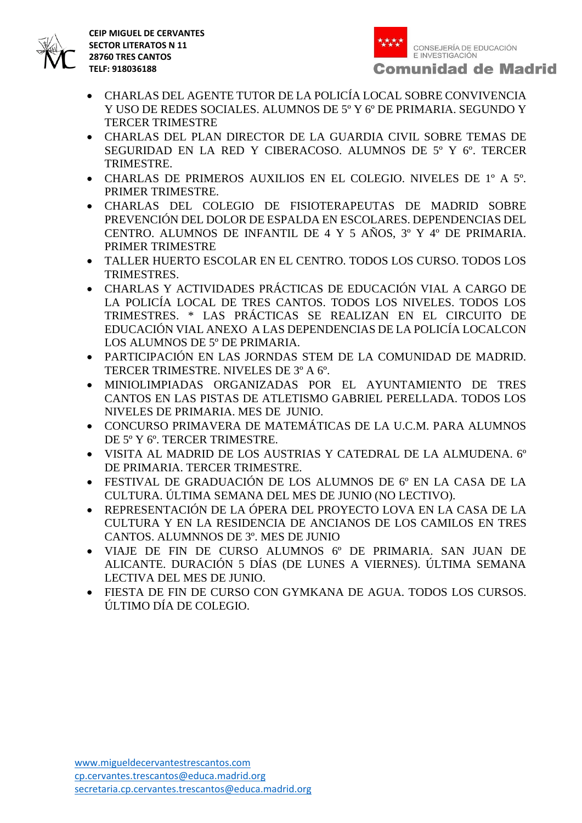



- CHARLAS DEL AGENTE TUTOR DE LA POLICÍA LOCAL SOBRE CONVIVENCIA Y USO DE REDES SOCIALES. ALUMNOS DE 5º Y 6º DE PRIMARIA. SEGUNDO Y TERCER TRIMESTRE
- CHARLAS DEL PLAN DIRECTOR DE LA GUARDIA CIVIL SOBRE TEMAS DE SEGURIDAD EN LA RED Y CIBERACOSO. ALUMNOS DE 5º Y 6º. TERCER TRIMESTRE.
- CHARLAS DE PRIMEROS AUXILIOS EN EL COLEGIO. NIVELES DE 1º A 5º. PRIMER TRIMESTRE.
- CHARLAS DEL COLEGIO DE FISIOTERAPEUTAS DE MADRID SOBRE PREVENCIÓN DEL DOLOR DE ESPALDA EN ESCOLARES. DEPENDENCIAS DEL CENTRO. ALUMNOS DE INFANTIL DE 4 Y 5 AÑOS, 3º Y 4º DE PRIMARIA. PRIMER TRIMESTRE
- TALLER HUERTO ESCOLAR EN EL CENTRO. TODOS LOS CURSO. TODOS LOS TRIMESTRES.
- CHARLAS Y ACTIVIDADES PRÁCTICAS DE EDUCACIÓN VIAL A CARGO DE LA POLICÍA LOCAL DE TRES CANTOS. TODOS LOS NIVELES. TODOS LOS TRIMESTRES. \* LAS PRÁCTICAS SE REALIZAN EN EL CIRCUITO DE EDUCACIÓN VIAL ANEXO A LAS DEPENDENCIAS DE LA POLICÍA LOCALCON LOS ALUMNOS DE 5º DE PRIMARIA.
- PARTICIPACIÓN EN LAS JORNDAS STEM DE LA COMUNIDAD DE MADRID. TERCER TRIMESTRE. NIVELES DE 3º A 6º.
- MINIOLIMPIADAS ORGANIZADAS POR EL AYUNTAMIENTO DE TRES CANTOS EN LAS PISTAS DE ATLETISMO GABRIEL PERELLADA. TODOS LOS NIVELES DE PRIMARIA. MES DE JUNIO.
- CONCURSO PRIMAVERA DE MATEMÁTICAS DE LA U.C.M. PARA ALUMNOS DE 5º Y 6º. TERCER TRIMESTRE.
- VISITA AL MADRID DE LOS AUSTRIAS Y CATEDRAL DE LA ALMUDENA. 6º DE PRIMARIA. TERCER TRIMESTRE.
- FESTIVAL DE GRADUACIÓN DE LOS ALUMNOS DE 6º EN LA CASA DE LA CULTURA. ÚLTIMA SEMANA DEL MES DE JUNIO (NO LECTIVO).
- REPRESENTACIÓN DE LA ÓPERA DEL PROYECTO LOVA EN LA CASA DE LA CULTURA Y EN LA RESIDENCIA DE ANCIANOS DE LOS CAMILOS EN TRES CANTOS. ALUMNNOS DE 3º. MES DE JUNIO
- VIAJE DE FIN DE CURSO ALUMNOS 6º DE PRIMARIA. SAN JUAN DE ALICANTE. DURACIÓN 5 DÍAS (DE LUNES A VIERNES). ÚLTIMA SEMANA LECTIVA DEL MES DE JUNIO.
- FIESTA DE FIN DE CURSO CON GYMKANA DE AGUA. TODOS LOS CURSOS. ÚLTIMO DÍA DE COLEGIO.